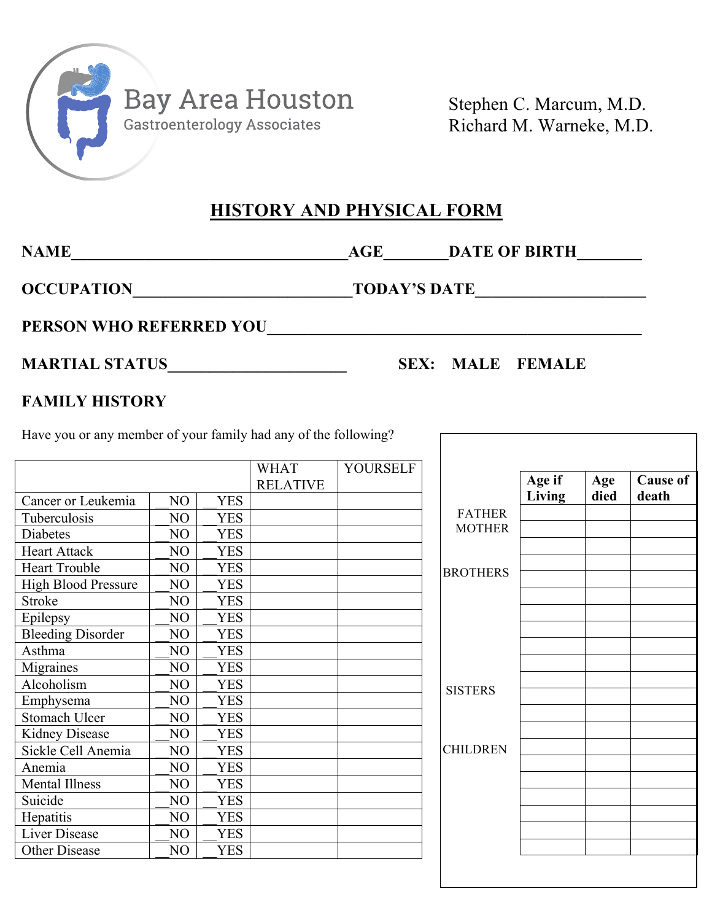

Stephen C. Marcum, M.D. Richard M. Warneke, M.D.

### **HISTORY AND PHYSICAL FORM**

**NAME\_\_\_\_\_\_\_\_\_\_\_\_\_\_\_\_\_\_\_\_\_\_\_\_\_\_\_\_\_\_\_\_\_\_AGE\_\_\_\_\_\_\_\_DATE OF BIRTH\_\_\_\_\_\_\_\_**

**OCCUPATION\_\_\_\_\_\_\_\_\_\_\_\_\_\_\_\_\_\_\_\_\_\_\_\_\_\_\_TODAY'S DATE\_\_\_\_\_\_\_\_\_\_\_\_\_\_\_\_\_\_\_\_\_**

PERSON WHO REFERRED YOU

## **MARTIAL STATUS\_\_\_\_\_\_\_\_\_\_\_\_\_\_\_\_\_\_\_\_\_\_ SEX: MALE FEMALE**

### **FAMILY HISTORY**

Have you or any member of your family had any of the following?

|                            |    |            | <b>WHAT</b>     | <b>YOURSELF</b> |                 |        |      |                 |
|----------------------------|----|------------|-----------------|-----------------|-----------------|--------|------|-----------------|
|                            |    |            | <b>RELATIVE</b> |                 |                 | Age if | Age  | <b>Cause of</b> |
| Cancer or Leukemia         | NO | <b>YES</b> |                 |                 |                 | Living | died | death           |
| Tuberculosis               | NO | <b>YES</b> |                 |                 | <b>FATHER</b>   |        |      |                 |
| Diabetes                   | NO | <b>YES</b> |                 |                 | <b>MOTHER</b>   |        |      |                 |
| <b>Heart Attack</b>        | NO | <b>YES</b> |                 |                 |                 |        |      |                 |
| <b>Heart Trouble</b>       | NO | <b>YES</b> |                 |                 | <b>BROTHERS</b> |        |      |                 |
| <b>High Blood Pressure</b> | NO | <b>YES</b> |                 |                 |                 |        |      |                 |
| <b>Stroke</b>              | NO | <b>YES</b> |                 |                 |                 |        |      |                 |
| Epilepsy                   | NO | <b>YES</b> |                 |                 |                 |        |      |                 |
| <b>Bleeding Disorder</b>   | NO | <b>YES</b> |                 |                 |                 |        |      |                 |
| Asthma                     | NO | <b>YES</b> |                 |                 |                 |        |      |                 |
| Migraines                  | NO | <b>YES</b> |                 |                 |                 |        |      |                 |
| Alcoholism                 | NO | <b>YES</b> |                 |                 | <b>SISTERS</b>  |        |      |                 |
| Emphysema                  | NO | <b>YES</b> |                 |                 |                 |        |      |                 |
| Stomach Ulcer              | NO | <b>YES</b> |                 |                 |                 |        |      |                 |
| <b>Kidney Disease</b>      | NO | <b>YES</b> |                 |                 |                 |        |      |                 |
| Sickle Cell Anemia         | NO | <b>YES</b> |                 |                 | <b>CHILDREN</b> |        |      |                 |
| Anemia                     | NO | <b>YES</b> |                 |                 |                 |        |      |                 |
| <b>Mental Illness</b>      | NO | <b>YES</b> |                 |                 |                 |        |      |                 |
| Suicide                    | NO | <b>YES</b> |                 |                 |                 |        |      |                 |
| Hepatitis                  | NO | <b>YES</b> |                 |                 |                 |        |      |                 |
| <b>Liver Disease</b>       | NO | <b>YES</b> |                 |                 |                 |        |      |                 |
| Other Disease              | NO | <b>YES</b> |                 |                 |                 |        |      |                 |
|                            |    |            |                 |                 |                 |        |      |                 |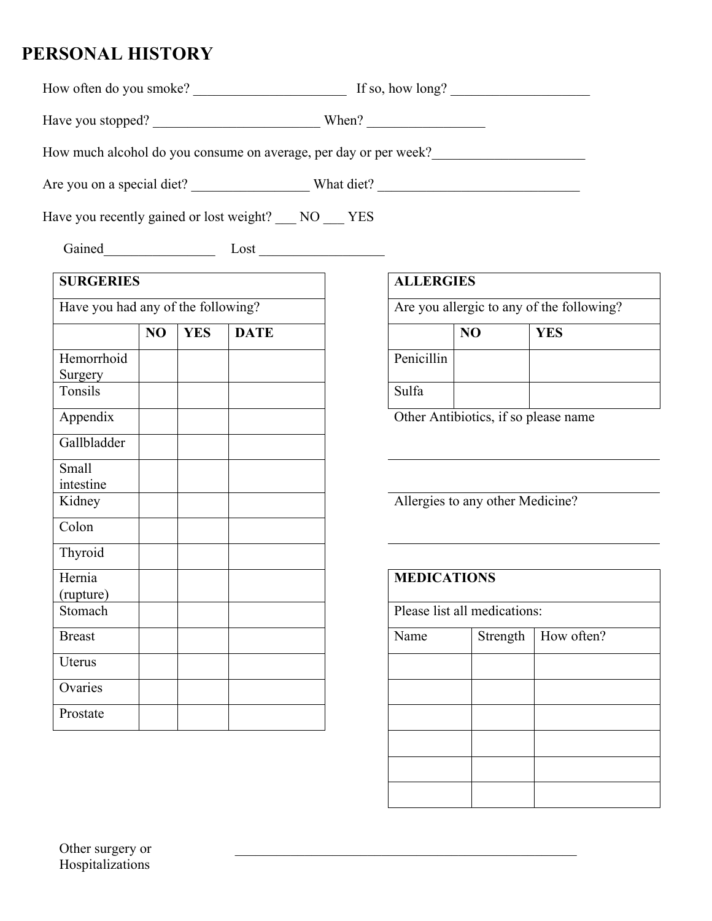# **PERSONAL HISTORY**

| How often do you smoke? | If so, how long? |  |
|-------------------------|------------------|--|
|                         |                  |  |

Have you stopped? When?

How much alcohol do you consume on average, per day or per week?\_\_\_\_\_\_\_\_\_\_\_\_\_\_\_\_\_

Are you on a special diet? What diet?

Have you recently gained or lost weight? NO YES

Gained\_\_\_\_\_\_\_\_\_\_\_\_\_\_\_\_ Lost \_\_\_\_\_\_\_\_\_\_\_\_\_\_\_\_\_\_

| <b>SURGERIES</b>                   |    |            |             | <b>ALLERGIES</b> |                                      |                                           |
|------------------------------------|----|------------|-------------|------------------|--------------------------------------|-------------------------------------------|
| Have you had any of the following? |    |            |             |                  |                                      | Are you allergic to any of the following? |
|                                    | NO | <b>YES</b> | <b>DATE</b> |                  | NO                                   | <b>YES</b>                                |
| Hemorrhoid<br>Surgery              |    |            |             | Penicillin       |                                      |                                           |
| Tonsils                            |    |            |             | Sulfa            |                                      |                                           |
| Appendix                           |    |            |             |                  | Other Antibiotics, if so please name |                                           |
| Gallbladder                        |    |            |             |                  |                                      |                                           |
| Small<br>intestine                 |    |            |             |                  |                                      |                                           |
| Kidney                             |    |            |             |                  | Allergies to any other Medicine?     |                                           |
| Colon                              |    |            |             |                  |                                      |                                           |
| Thyroid                            |    |            |             |                  |                                      |                                           |
| Hernia<br>(rupture)                |    |            |             |                  | <b>MEDICATIONS</b>                   |                                           |
| Stomach                            |    |            |             |                  | Please list all medications:         |                                           |
| <b>Breast</b>                      |    |            |             | Name             | Strength                             | How often?                                |
| Uterus                             |    |            |             |                  |                                      |                                           |
| Ovaries                            |    |            |             |                  |                                      |                                           |
| Prostate                           |    |            |             |                  |                                      |                                           |

| <b>ALLERGIES</b>                          |    |            |  |  |
|-------------------------------------------|----|------------|--|--|
| Are you allergic to any of the following? |    |            |  |  |
|                                           | NO | <b>YES</b> |  |  |
| Penicillin                                |    |            |  |  |
| Sulfa                                     |    |            |  |  |

| <b>MEDICATIONS</b> |                              |            |  |
|--------------------|------------------------------|------------|--|
|                    |                              |            |  |
|                    | Please list all medications: |            |  |
| Name               | Strength                     | How often? |  |
|                    |                              |            |  |
|                    |                              |            |  |
|                    |                              |            |  |
|                    |                              |            |  |
|                    |                              |            |  |
|                    |                              |            |  |
|                    |                              |            |  |
|                    |                              |            |  |

 $\mathcal{L}_\text{max}$  , and the contract of the contract of the contract of the contract of the contract of the contract of the contract of the contract of the contract of the contract of the contract of the contract of the contr